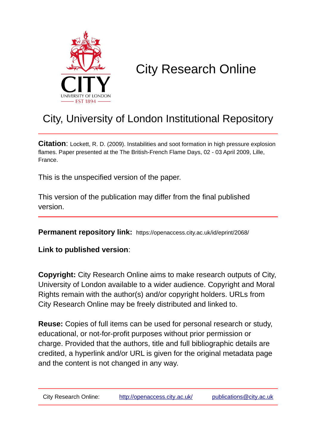

# City Research Online

## City, University of London Institutional Repository

**Citation**: Lockett, R. D. (2009). Instabilities and soot formation in high pressure explosion flames. Paper presented at the The British-French Flame Days, 02 - 03 April 2009, Lille, France.

This is the unspecified version of the paper.

This version of the publication may differ from the final published version.

**Permanent repository link:** https://openaccess.city.ac.uk/id/eprint/2068/

**Link to published version**:

**Copyright:** City Research Online aims to make research outputs of City, University of London available to a wider audience. Copyright and Moral Rights remain with the author(s) and/or copyright holders. URLs from City Research Online may be freely distributed and linked to.

**Reuse:** Copies of full items can be used for personal research or study, educational, or not-for-profit purposes without prior permission or charge. Provided that the authors, title and full bibliographic details are credited, a hyperlink and/or URL is given for the original metadata page and the content is not changed in any way.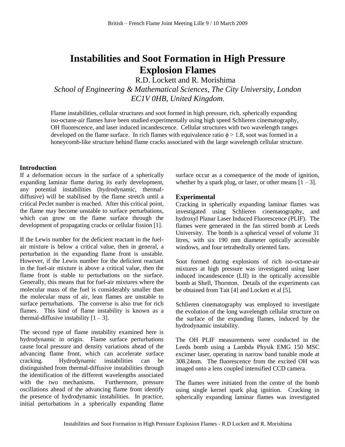### **Instabilities and Soot Formation in High Pressure Explosion Flames**

R.D. Lockett and R. Morishima

*School of Engineering & Mathematical Sciences, The City University, London EC1V 0HB, United Kingdom.*

Flame instabilities, cellular structures and soot formed in high pressure, rich, spherically expanding iso-octane-air flames have been studied experimentally using high speed Schlieren cinematography, OH fluorescence, and laser induced incandescence. Cellular structures with two wavelength ranges developed on the flame surface. In rich flames with equivalence ratio  $\phi > 1.8$ , soot was formed in a honeycomb-like structure behind flame cracks associated with the large wavelength cellular structure.

#### **Introduction**

If a deformation occurs in the surface of a spherically expanding laminar flame during its early development, any potential instabilities (hydrodynamic, thermaldiffusive) will be stabilised by the flame stretch until a critical Peclet number is reached. After this critical point, the flame may become unstable to surface perturbations, which can grow on the flame surface through the development of propagating cracks or cellular fission [1].

If the Lewis number for the deficient reactant in the fuelair mixture is below a critical value, then in general, a perturbation in the expanding flame front is unstable. However, if the Lewis number for the deficient reactant in the fuel-air mixture is above a critical value, then the flame front is stable to perturbations on the surface. Generally, this means that for fuel-air mixtures where the molecular mass of the fuel is considerably smaller than the molecular mass of air, lean flames are unstable to surface perturbations. The converse is also true for rich flames. This kind of flame instability is known as a thermal-diffusive instability  $[1 – 3]$ .

The second type of flame instability examined here is hydrodynamic in origin. Flame surface perturbations cause local pressure and density variations ahead of the advancing flame front, which can accelerate surface cracking. Hydrodynamic instabilities can be distinguished from thermal-diffusive instabilities through the identification of the different wavelengths associated with the two mechanisms. Furthermore, pressure oscillations ahead of the advancing flame front identify the presence of hydrodynamic instabilities. In practice, initial perturbations in a spherically expanding flame

surface occur as a consequence of the mode of ignition, whether by a spark plug, or laser, or other means  $[1 – 3]$ .

#### **Experimental**

Cracking in spherically expanding laminar flames was investigated using Schlieren cinematography, and hydroxyl Planar Laser Induced Fluorescence (PLIF). The flames were generated in the fan stirred bomb at Leeds University. The bomb is a spherical vessel of volume 31 litres, with six 190 mm diameter optically accessible windows, and four tetrahedrally oriented fans.

Soot formed during explosions of rich iso-octane-air mixtures at high pressure was investigated using laser induced incandescence (LII) in the optically accessible bomb at Shell, Thornton. Details of the experiments can be obtained from Tait [4] and Lockett et al [5].

Schlieren cinematography was employed to investigate the evolution of the long wavelength cellular structure on the surface of the expanding flames, induced by the hydrodynamic instability.

The OH PLIF measurements were conducted in the Leeds bomb using a Lambda Physik EMG 150 MSC excimer laser, operating in narrow band tunable mode at 308.24nm. The fluorescence from the excited OH was imaged onto a lens coupled intensified CCD camera.

The flames were initiated from the centre of the bomb using single kernel spark plug ignition. Cracking in spherically expanding laminar flames was investigated